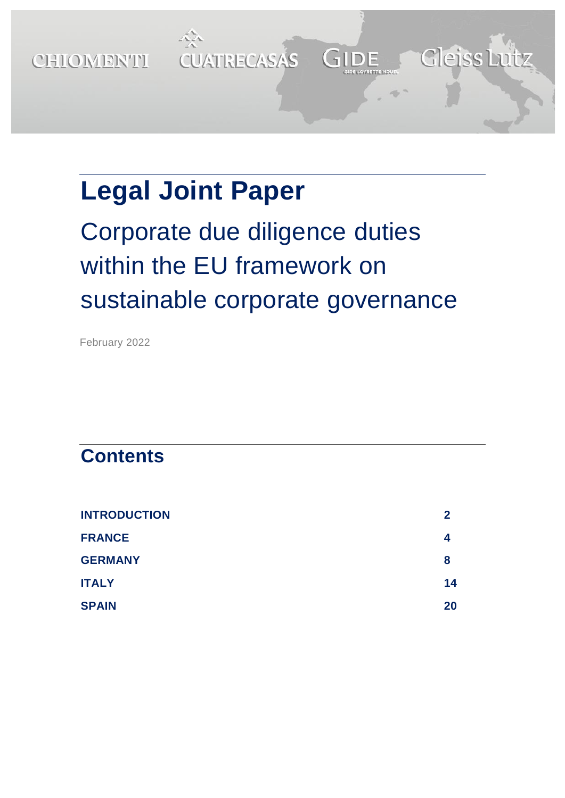

# **Legal Joint Paper**

# Corporate due diligence duties within the EU framework on sustainable corporate governance

February 2022

# **Contents**

| <b>INTRODUCTION</b> | 2  |
|---------------------|----|
| <b>FRANCE</b>       | 4  |
| <b>GERMANY</b>      | 8  |
| <b>ITALY</b>        | 14 |
| <b>SPAIN</b>        | 20 |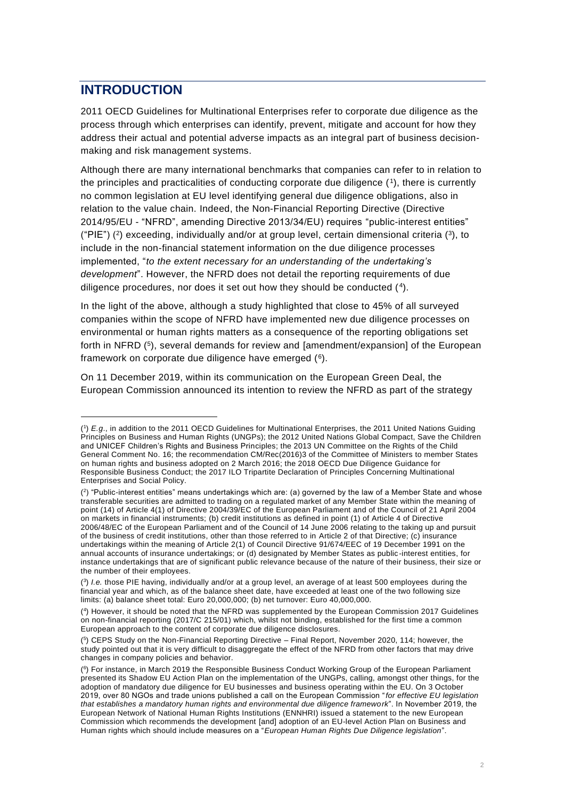# <span id="page-1-0"></span>**INTRODUCTION**

2011 OECD Guidelines for Multinational Enterprises refer to corporate due diligence as the process through which enterprises can identify, prevent, mitigate and account for how they address their actual and potential adverse impacts as an integral part of business decisionmaking and risk management systems.

Although there are many international benchmarks that companies can refer to in relation to the principles and practicalities of conducting corporate due diligence (1), there is currently no common legislation at EU level identifying general due diligence obligations, also in relation to the value chain. Indeed, the Non-Financial Reporting Directive (Directive 2014/95/EU - "NFRD", amending Directive 2013/34/EU) requires "public-interest entities" ("PIE")  $(2)$  exceeding, individually and/or at group level, certain dimensional criteria  $(3)$ , to include in the non-financial statement information on the due diligence processes implemented, "*to the extent necessary for an understanding of the undertaking's development*". However, the NFRD does not detail the reporting requirements of due diligence procedures, nor does it set out how they should be conducted (4).

In the light of the above, although a study highlighted that close to 45% of all surveyed companies within the scope of NFRD have implemented new due diligence processes on environmental or human rights matters as a consequence of the reporting obligations set forth in NFRD (5), several demands for review and [amendment/expansion] of the European framework on corporate due diligence have emerged (<sup>6</sup> ).

On 11 December 2019, within its communication on the European Green Deal, the European Commission announced its intention to review the NFRD as part of the strategy

<sup>(</sup> 1 ) *E.g*., in addition to the 2011 OECD Guidelines for Multinational Enterprises, the 2011 United Nations Guiding Principles on Business and Human Rights (UNGPs); the 2012 United Nations Global Compact, Save the Children and UNICEF Children's Rights and Business Principles; the 2013 UN Committee on the Rights of the Child General Comment No. 16; the recommendation CM/Rec(2016)3 of the Committee of Ministers to member States on human rights and business adopted on 2 March 2016; the 2018 OECD Due Diligence Guidance for Responsible Business Conduct; the 2017 ILO Tripartite Declaration of Principles Concerning Multinational Enterprises and Social Policy.

<sup>(</sup> 2 ) "Public-interest entities" means undertakings which are: (a) governed by the law of a Member State and whose transferable securities are admitted to trading on a regulated market of any Member State within the meaning of point (14) of Article 4(1) of Directive 2004/39/EC of the European Parliament and of the Council of 21 April 2004 on markets in financial instruments; (b) credit institutions as defined in point (1) of Article 4 of Directive 2006/48/EC of the European Parliament and of the Council of 14 June 2006 relating to the taking up and pursuit of the business of credit institutions, other than those referred to in Article 2 of that Directive; (c) insurance undertakings within the meaning of Article 2(1) of Council Directive 91/674/EEC of 19 December 1991 on the annual accounts of insurance undertakings; or (d) designated by Member States as public -interest entities, for instance undertakings that are of significant public relevance because of the nature of their business, their size or the number of their employees.

<sup>(</sup> 3 ) *I.e.* those PIE having, individually and/or at a group level, an average of at least 500 employees during the financial year and which, as of the balance sheet date, have exceeded at least one of the two following size limits: (a) balance sheet total: Euro 20,000,000; (b) net turnover: Euro 40,000,000.

<sup>(</sup> 4 ) However, it should be noted that the NFRD was supplemented by the European Commission 2017 Guidelines on non-financial reporting (2017/C 215/01) which, whilst not binding, established for the first time a common European approach to the content of corporate due diligence disclosures.

<sup>(</sup> 5 ) CEPS Study on the Non-Financial Reporting Directive – Final Report, November 2020, 114; however, the study pointed out that it is very difficult to disaggregate the effect of the NFRD from other factors that may drive changes in company policies and behavior.

<sup>(</sup> 6 ) For instance, in March 2019 the Responsible Business Conduct Working Group of the European Parliament presented its Shadow EU Action Plan on the implementation of the UNGPs, calling, amongst other things, for the adoption of mandatory due diligence for EU businesses and business operating within the EU. On 3 October 2019, over 80 NGOs and trade unions published a call on the European Commission "*for effective EU legislation that establishes a mandatory human rights and environmental due diligence framework*". In November 2019, the European Network of National Human Rights Institutions (ENNHRI) issued a statement to the new European Commission which recommends the development [and] adoption of an EU-level Action Plan on Business and Human rights which should include measures on a "*European Human Rights Due Diligence legislation*".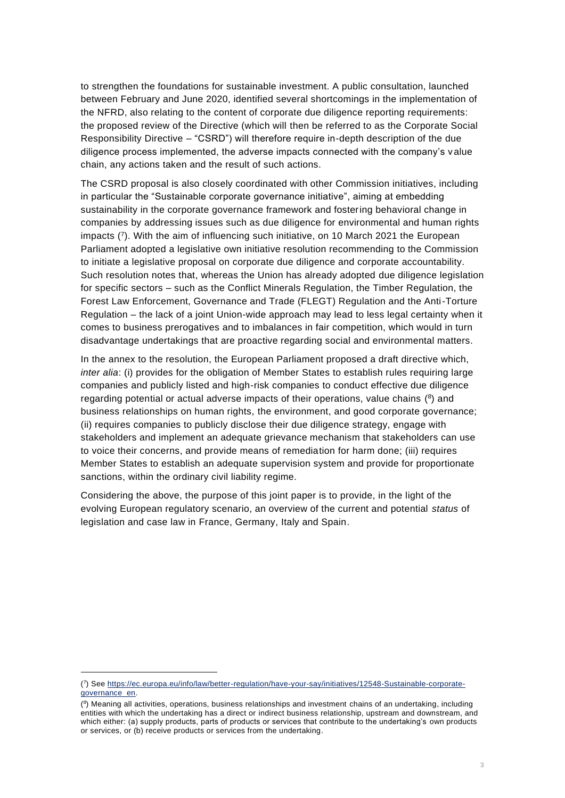to strengthen the foundations for sustainable investment. A public consultation, launched between February and June 2020, identified several shortcomings in the implementation of the NFRD, also relating to the content of corporate due diligence reporting requirements: the proposed review of the Directive (which will then be referred to as the Corporate Social Responsibility Directive – "CSRD") will therefore require in-depth description of the due diligence process implemented, the adverse impacts connected with the company's value chain, any actions taken and the result of such actions.

The CSRD proposal is also closely coordinated with other Commission initiatives, including in particular the "Sustainable corporate governance initiative", aiming at embedding sustainability in the corporate governance framework and fostering behavioral change in companies by addressing issues such as due diligence for environmental and human rights impacts ( 7 ). With the aim of influencing such initiative, on 10 March 2021 the European Parliament adopted a legislative own initiative resolution recommending to the Commission to initiate a legislative proposal on corporate due diligence and corporate accountability. Such resolution notes that, whereas the Union has already adopted due diligence legislation for specific sectors – such as the Conflict Minerals Regulation, the Timber Regulation, the Forest Law Enforcement, Governance and Trade (FLEGT) Regulation and the Anti-Torture Regulation – the lack of a joint Union-wide approach may lead to less legal certainty when it comes to business prerogatives and to imbalances in fair competition, which would in turn disadvantage undertakings that are proactive regarding social and environmental matters.

In the annex to the resolution, the European Parliament proposed a draft directive which, *inter alia*: (i) provides for the obligation of Member States to establish rules requiring large companies and publicly listed and high-risk companies to conduct effective due diligence regarding potential or actual adverse impacts of their operations, value chains (<sup>8</sup>) and business relationships on human rights, the environment, and good corporate governance; (ii) requires companies to publicly disclose their due diligence strategy, engage with stakeholders and implement an adequate grievance mechanism that stakeholders can use to voice their concerns, and provide means of remediation for harm done; (iii) requires Member States to establish an adequate supervision system and provide for proportionate sanctions, within the ordinary civil liability regime.

Considering the above, the purpose of this joint paper is to provide, in the light of the evolving European regulatory scenario, an overview of the current and potential *status* of legislation and case law in France, Germany, Italy and Spain.

<sup>(</sup> 7 ) See [https://ec.europa.eu/info/law/better-regulation/have-your-say/initiatives/12548-Sustainable-corporate](https://ec.europa.eu/info/law/better-regulation/have-your-say/initiatives/12548-Sustainable-corporate-governance_en)[governance\\_en.](https://ec.europa.eu/info/law/better-regulation/have-your-say/initiatives/12548-Sustainable-corporate-governance_en)

<sup>(</sup> 8 ) Meaning all activities, operations, business relationships and investment chains of an undertaking, including entities with which the undertaking has a direct or indirect business relationship, upstream and downstream, and which either: (a) supply products, parts of products or services that contribute to the undertaking's own products or services, or (b) receive products or services from the undertaking.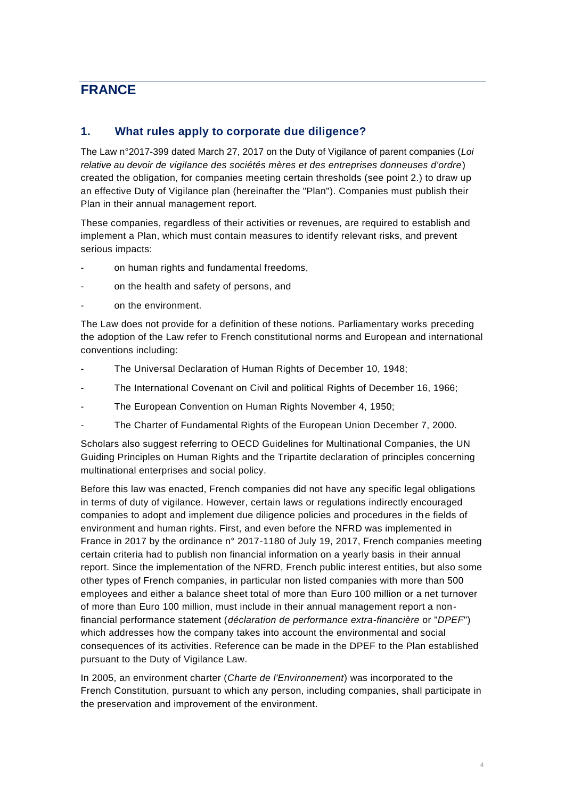# <span id="page-3-0"></span>**FRANCE**

#### **1. What rules apply to corporate due diligence?**

The Law n°2017-399 dated March 27, 2017 on the Duty of Vigilance of parent companies (*Loi relative au devoir de vigilance des sociétés mères et des entreprises donneuses d'ordre*) created the obligation, for companies meeting certain thresholds (see point 2.) to draw up an effective Duty of Vigilance plan (hereinafter the "Plan"). Companies must publish their Plan in their annual management report.

These companies, regardless of their activities or revenues, are required to establish and implement a Plan, which must contain measures to identify relevant risks, and prevent serious impacts:

- on human rights and fundamental freedoms,
- on the health and safety of persons, and
- on the environment.

The Law does not provide for a definition of these notions. Parliamentary works preceding the adoption of the Law refer to French constitutional norms and European and international conventions including:

- The Universal Declaration of Human Rights of December 10, 1948;
- The International Covenant on Civil and political Rights of December 16, 1966;
- The European Convention on Human Rights November 4, 1950;
- The Charter of Fundamental Rights of the European Union December 7, 2000.

Scholars also suggest referring to OECD Guidelines for Multinational Companies, the UN Guiding Principles on Human Rights and the Tripartite declaration of principles concerning multinational enterprises and social policy.

Before this law was enacted, French companies did not have any specific legal obligations in terms of duty of vigilance. However, certain laws or regulations indirectly encouraged companies to adopt and implement due diligence policies and procedures in the fields of environment and human rights. First, and even before the NFRD was implemented in France in 2017 by the ordinance n° 2017-1180 of July 19, 2017, French companies meeting certain criteria had to publish non financial information on a yearly basis in their annual report. Since the implementation of the NFRD, French public interest entities, but also some other types of French companies, in particular non listed companies with more than 500 employees and either a balance sheet total of more than Euro 100 million or a net turnover of more than Euro 100 million, must include in their annual management report a nonfinancial performance statement (*déclaration de performance extra-financière* or "*DPEF*") which addresses how the company takes into account the environmental and social consequences of its activities. Reference can be made in the DPEF to the Plan established pursuant to the Duty of Vigilance Law.

In 2005, an environment charter (*Charte de l'Environnement*) was incorporated to the French Constitution, pursuant to which any person, including companies, shall participate in the preservation and improvement of the environment.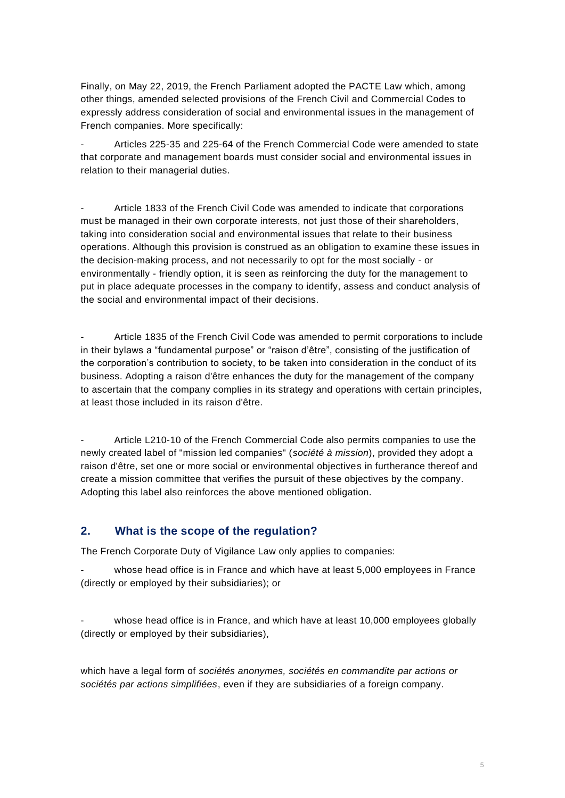Finally, on May 22, 2019, the French Parliament adopted the PACTE Law which, among other things, amended selected provisions of the French Civil and Commercial Codes to expressly address consideration of social and environmental issues in the management of French companies. More specifically:

- Articles 225-35 and 225-64 of the French Commercial Code were amended to state that corporate and management boards must consider social and environmental issues in relation to their managerial duties.

- Article 1833 of the French Civil Code was amended to indicate that corporations must be managed in their own corporate interests, not just those of their shareholders, taking into consideration social and environmental issues that relate to their business operations. Although this provision is construed as an obligation to examine these issues in the decision-making process, and not necessarily to opt for the most socially - or environmentally - friendly option, it is seen as reinforcing the duty for the management to put in place adequate processes in the company to identify, assess and conduct analysis of the social and environmental impact of their decisions.

Article 1835 of the French Civil Code was amended to permit corporations to include in their bylaws a "fundamental purpose" or "raison d'être", consisting of the justification of the corporation's contribution to society, to be taken into consideration in the conduct of its business. Adopting a raison d'être enhances the duty for the management of the company to ascertain that the company complies in its strategy and operations with certain principles, at least those included in its raison d'être.

Article L210-10 of the French Commercial Code also permits companies to use the newly created label of "mission led companies" (*société à mission*), provided they adopt a raison d'être, set one or more social or environmental objectives in furtherance thereof and create a mission committee that verifies the pursuit of these objectives by the company. Adopting this label also reinforces the above mentioned obligation.

#### **2. What is the scope of the regulation?**

The French Corporate Duty of Vigilance Law only applies to companies:

whose head office is in France and which have at least 5,000 employees in France (directly or employed by their subsidiaries); or

whose head office is in France, and which have at least 10,000 employees globally (directly or employed by their subsidiaries),

which have a legal form of *sociétés anonymes, sociétés en commandite par actions or sociétés par actions simplifiées*, even if they are subsidiaries of a foreign company.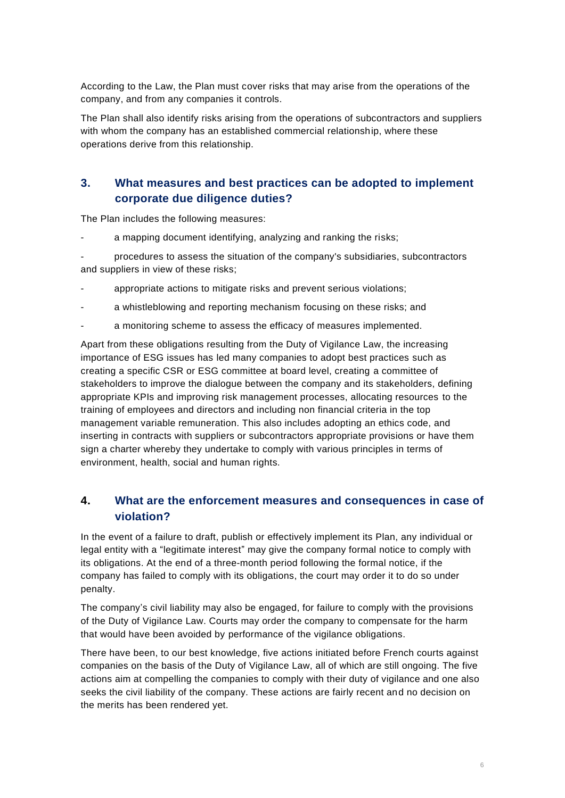According to the Law, the Plan must cover risks that may arise from the operations of the company, and from any companies it controls.

The Plan shall also identify risks arising from the operations of subcontractors and suppliers with whom the company has an established commercial relationship, where these operations derive from this relationship.

# **3. What measures and best practices can be adopted to implement corporate due diligence duties?**

The Plan includes the following measures:

a mapping document identifying, analyzing and ranking the risks;

- procedures to assess the situation of the company's subsidiaries, subcontractors and suppliers in view of these risks;

- appropriate actions to mitigate risks and prevent serious violations;
- a whistleblowing and reporting mechanism focusing on these risks; and
- a monitoring scheme to assess the efficacy of measures implemented.

Apart from these obligations resulting from the Duty of Vigilance Law, the increasing importance of ESG issues has led many companies to adopt best practices such as creating a specific CSR or ESG committee at board level, creating a committee of stakeholders to improve the dialogue between the company and its stakeholders, defining appropriate KPIs and improving risk management processes, allocating resources to the training of employees and directors and including non financial criteria in the top management variable remuneration. This also includes adopting an ethics code, and inserting in contracts with suppliers or subcontractors appropriate provisions or have them sign a charter whereby they undertake to comply with various principles in terms of environment, health, social and human rights.

# **4. What are the enforcement measures and consequences in case of violation?**

In the event of a failure to draft, publish or effectively implement its Plan, any individual or legal entity with a "legitimate interest" may give the company formal notice to comply with its obligations. At the end of a three-month period following the formal notice, if the company has failed to comply with its obligations, the court may order it to do so under penalty.

The company's civil liability may also be engaged, for failure to comply with the provisions of the Duty of Vigilance Law. Courts may order the company to compensate for the harm that would have been avoided by performance of the vigilance obligations.

There have been, to our best knowledge, five actions initiated before French courts against companies on the basis of the Duty of Vigilance Law, all of which are still ongoing. The five actions aim at compelling the companies to comply with their duty of vigilance and one also seeks the civil liability of the company. These actions are fairly recent and no decision on the merits has been rendered yet.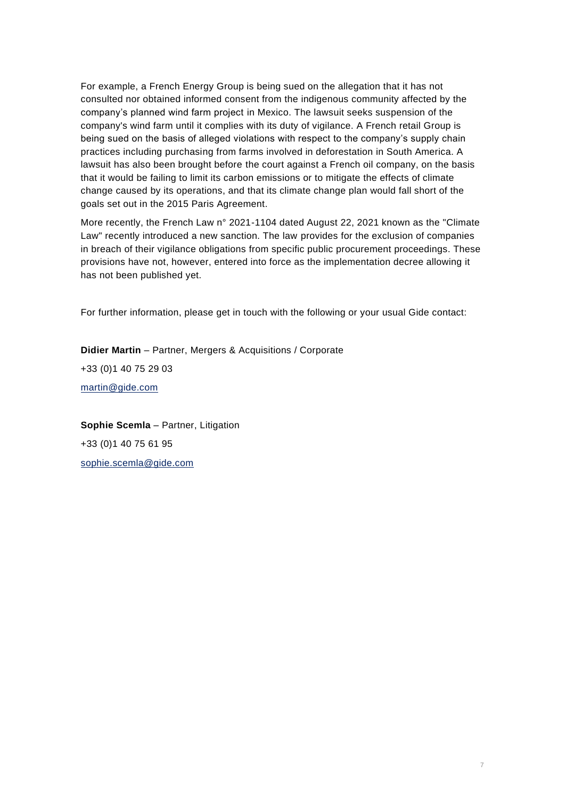For example, a French Energy Group is being sued on the allegation that it has not consulted nor obtained informed consent from the indigenous community affected by the company's planned wind farm project in Mexico. The lawsuit seeks suspension of the company's wind farm until it complies with its duty of vigilance. A French retail Group is being sued on the basis of alleged violations with respect to the company's supply chain practices including purchasing from farms involved in deforestation in South America. A lawsuit has also been brought before the court against a French oil company, on the basis that it would be failing to limit its carbon emissions or to mitigate the effects of climate change caused by its operations, and that its climate change plan would fall short of the goals set out in the 2015 Paris Agreement.

More recently, the French Law n° 2021-1104 dated August 22, 2021 known as the "Climate Law" recently introduced a new sanction. The law provides for the exclusion of companies in breach of their vigilance obligations from specific public procurement proceedings. These provisions have not, however, entered into force as the implementation decree allowing it has not been published yet.

For further information, please get in touch with the following or your usual Gide contact:

**Didier Martin** – Partner, Mergers & Acquisitions / Corporate +33 (0)1 40 75 29 03 [martin@gide.com](mailto:martin@gide.com)

**Sophie Scemla** – Partner, Litigation +33 (0)1 40 75 61 95 [sophie.scemla@gide.com](mailto:sophie.scemla@gide.com)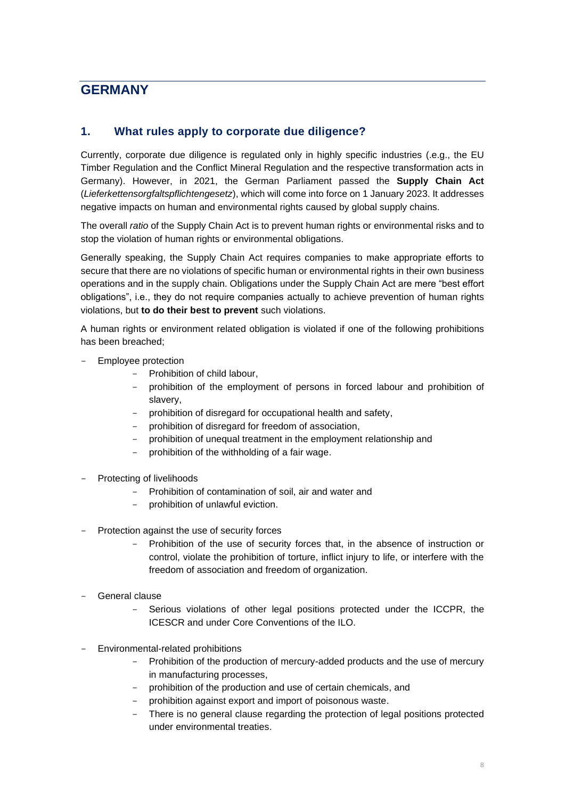# <span id="page-7-0"></span>**GERMANY**

### **1. What rules apply to corporate due diligence?**

Currently, corporate due diligence is regulated only in highly specific industries (.e.g., the EU Timber Regulation and the Conflict Mineral Regulation and the respective transformation acts in Germany). However, in 2021, the German Parliament passed the **Supply Chain Act** (*Lieferkettensorgfaltspflichtengesetz*), which will come into force on 1 January 2023. It addresses negative impacts on human and environmental rights caused by global supply chains.

The overall *ratio* of the Supply Chain Act is to prevent human rights or environmental risks and to stop the violation of human rights or environmental obligations.

Generally speaking, the Supply Chain Act requires companies to make appropriate efforts to secure that there are no violations of specific human or environmental rights in their own business operations and in the supply chain. Obligations under the Supply Chain Act are mere "best effort obligations", i.e., they do not require companies actually to achieve prevention of human rights violations, but **to do their best to prevent** such violations.

A human rights or environment related obligation is violated if one of the following prohibitions has been breached;

- Employee protection
	- Prohibition of child labour,
	- prohibition of the employment of persons in forced labour and prohibition of slavery,
	- prohibition of disregard for occupational health and safety,
	- prohibition of disregard for freedom of association,
	- prohibition of unequal treatment in the employment relationship and
	- prohibition of the withholding of a fair wage.
- Protecting of livelihoods
	- Prohibition of contamination of soil, air and water and
	- prohibition of unlawful eviction.
- Protection against the use of security forces
	- Prohibition of the use of security forces that, in the absence of instruction or control, violate the prohibition of torture, inflict injury to life, or interfere with the freedom of association and freedom of organization.
- General clause
	- Serious violations of other legal positions protected under the ICCPR, the ICESCR and under Core Conventions of the ILO.
- Environmental-related prohibitions
	- Prohibition of the production of mercury-added products and the use of mercury in manufacturing processes,
	- prohibition of the production and use of certain chemicals, and
	- prohibition against export and import of poisonous waste.
	- There is no general clause regarding the protection of legal positions protected under environmental treaties.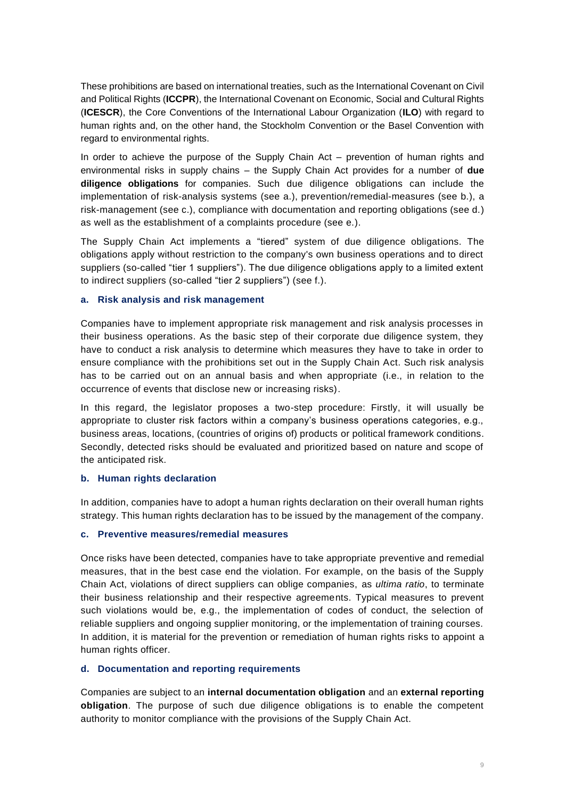These prohibitions are based on international treaties, such as the International Covenant on Civil and Political Rights (**ICCPR**), the International Covenant on Economic, Social and Cultural Rights (**ICESCR**), the Core Conventions of the International Labour Organization (**ILO**) with regard to human rights and, on the other hand, the Stockholm Convention or the Basel Convention with regard to environmental rights.

In order to achieve the purpose of the Supply Chain Act – prevention of human rights and environmental risks in supply chains – the Supply Chain Act provides for a number of **due diligence obligations** for companies. Such due diligence obligations can include the implementation of risk-analysis systems (see a.), prevention/remedial-measures (see b.), a risk-management (see c.), compliance with documentation and reporting obligations (see d.) as well as the establishment of a complaints procedure (see e.).

The Supply Chain Act implements a "tiered" system of due diligence obligations. The obligations apply without restriction to the company's own business operations and to direct suppliers (so-called "tier 1 suppliers"). The due diligence obligations apply to a limited extent to indirect suppliers (so-called "tier 2 suppliers") (see f.).

#### **a. Risk analysis and risk management**

Companies have to implement appropriate risk management and risk analysis processes in their business operations. As the basic step of their corporate due diligence system, they have to conduct a risk analysis to determine which measures they have to take in order to ensure compliance with the prohibitions set out in the Supply Chain Act. Such risk analysis has to be carried out on an annual basis and when appropriate (i.e., in relation to the occurrence of events that disclose new or increasing risks).

In this regard, the legislator proposes a two-step procedure: Firstly, it will usually be appropriate to cluster risk factors within a company's business operations categories, e.g., business areas, locations, (countries of origins of) products or political framework conditions. Secondly, detected risks should be evaluated and prioritized based on nature and scope of the anticipated risk.

#### **b. Human rights declaration**

In addition, companies have to adopt a human rights declaration on their overall human rights strategy. This human rights declaration has to be issued by the management of the company.

#### **c. Preventive measures/remedial measures**

Once risks have been detected, companies have to take appropriate preventive and remedial measures, that in the best case end the violation. For example, on the basis of the Supply Chain Act, violations of direct suppliers can oblige companies, as *ultima ratio*, to terminate their business relationship and their respective agreements. Typical measures to prevent such violations would be, e.g., the implementation of codes of conduct, the selection of reliable suppliers and ongoing supplier monitoring, or the implementation of training courses. In addition, it is material for the prevention or remediation of human rights risks to appoint a human rights officer.

#### **d. Documentation and reporting requirements**

Companies are subject to an **internal documentation obligation** and an **external reporting obligation**. The purpose of such due diligence obligations is to enable the competent authority to monitor compliance with the provisions of the Supply Chain Act.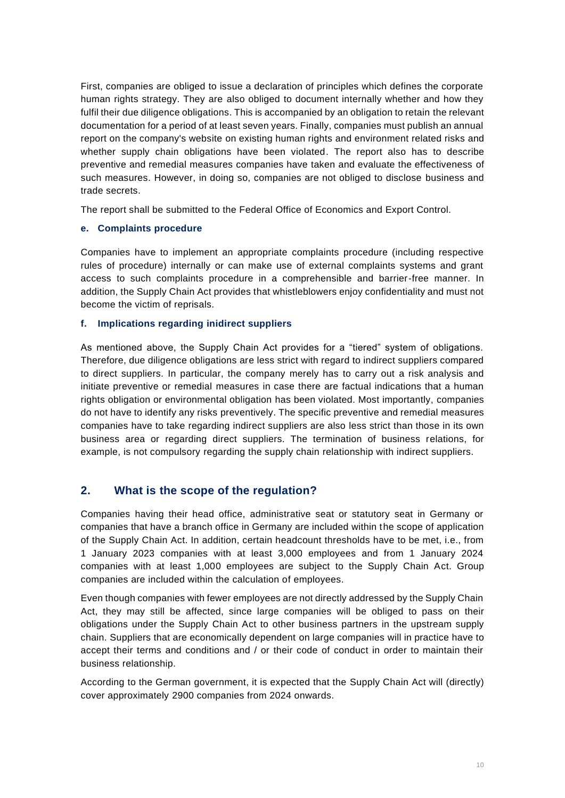First, companies are obliged to issue a declaration of principles which defines the corporate human rights strategy. They are also obliged to document internally whether and how they fulfil their due diligence obligations. This is accompanied by an obligation to retain the relevant documentation for a period of at least seven years. Finally, companies must publish an annual report on the company's website on existing human rights and environment related risks and whether supply chain obligations have been violated. The report also has to describe preventive and remedial measures companies have taken and evaluate the effectiveness of such measures. However, in doing so, companies are not obliged to disclose business and trade secrets.

The report shall be submitted to the Federal Office of Economics and Export Control.

#### **e. Complaints procedure**

Companies have to implement an appropriate complaints procedure (including respective rules of procedure) internally or can make use of external complaints systems and grant access to such complaints procedure in a comprehensible and barrier-free manner. In addition, the Supply Chain Act provides that whistleblowers enjoy confidentiality and must not become the victim of reprisals.

#### **f. Implications regarding inidirect suppliers**

As mentioned above, the Supply Chain Act provides for a "tiered" system of obligations. Therefore, due diligence obligations are less strict with regard to indirect suppliers compared to direct suppliers. In particular, the company merely has to carry out a risk analysis and initiate preventive or remedial measures in case there are factual indications that a human rights obligation or environmental obligation has been violated. Most importantly, companies do not have to identify any risks preventively. The specific preventive and remedial measures companies have to take regarding indirect suppliers are also less strict than those in its own business area or regarding direct suppliers. The termination of business relations, for example, is not compulsory regarding the supply chain relationship with indirect suppliers.

#### **2. What is the scope of the regulation?**

Companies having their head office, administrative seat or statutory seat in Germany or companies that have a branch office in Germany are included within the scope of application of the Supply Chain Act. In addition, certain headcount thresholds have to be met, i.e., from 1 January 2023 companies with at least 3,000 employees and from 1 January 2024 companies with at least 1,000 employees are subject to the Supply Chain Act. Group companies are included within the calculation of employees.

Even though companies with fewer employees are not directly addressed by the Supply Chain Act, they may still be affected, since large companies will be obliged to pass on their obligations under the Supply Chain Act to other business partners in the upstream supply chain. Suppliers that are economically dependent on large companies will in practice have to accept their terms and conditions and / or their code of conduct in order to maintain their business relationship.

According to the German government, it is expected that the Supply Chain Act will (directly) cover approximately 2900 companies from 2024 onwards.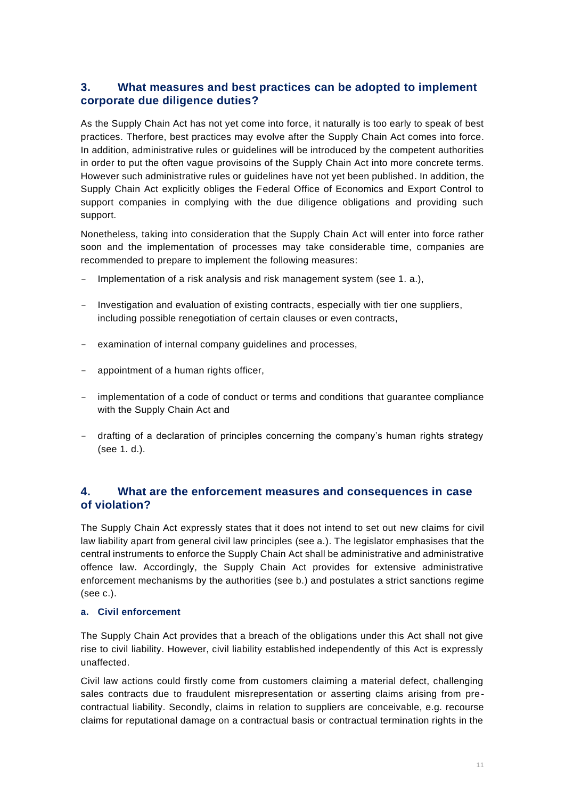#### **3. What measures and best practices can be adopted to implement corporate due diligence duties?**

As the Supply Chain Act has not yet come into force, it naturally is too early to speak of best practices. Therfore, best practices may evolve after the Supply Chain Act comes into force. In addition, administrative rules or guidelines will be introduced by the competent authorities in order to put the often vague provisoins of the Supply Chain Act into more concrete terms. However such administrative rules or guidelines have not yet been published. In addition, the Supply Chain Act explicitly obliges the Federal Office of Economics and Export Control to support companies in complying with the due diligence obligations and providing such support.

Nonetheless, taking into consideration that the Supply Chain Act will enter into force rather soon and the implementation of processes may take considerable time, companies are recommended to prepare to implement the following measures:

- Implementation of a risk analysis and risk management system (see 1, a.).
- Investigation and evaluation of existing contracts, especially with tier one suppliers, including possible renegotiation of certain clauses or even contracts,
- examination of internal company guidelines and processes,
- appointment of a human rights officer,
- implementation of a code of conduct or terms and conditions that guarantee compliance with the Supply Chain Act and
- drafting of a declaration of principles concerning the company's human rights strategy (see 1. d.).

## **4. What are the enforcement measures and consequences in case of violation?**

The Supply Chain Act expressly states that it does not intend to set out new claims for civil law liability apart from general civil law principles (see a.). The legislator emphasises that the central instruments to enforce the Supply Chain Act shall be administrative and administrative offence law. Accordingly, the Supply Chain Act provides for extensive administrative enforcement mechanisms by the authorities (see b.) and postulates a strict sanctions regime (see c.).

#### **a. Civil enforcement**

The Supply Chain Act provides that a breach of the obligations under this Act shall not give rise to civil liability. However, civil liability established independently of this Act is expressly unaffected.

Civil law actions could firstly come from customers claiming a material defect, challenging sales contracts due to fraudulent misrepresentation or asserting claims arising from precontractual liability. Secondly, claims in relation to suppliers are conceivable, e.g. recourse claims for reputational damage on a contractual basis or contractual termination rights in the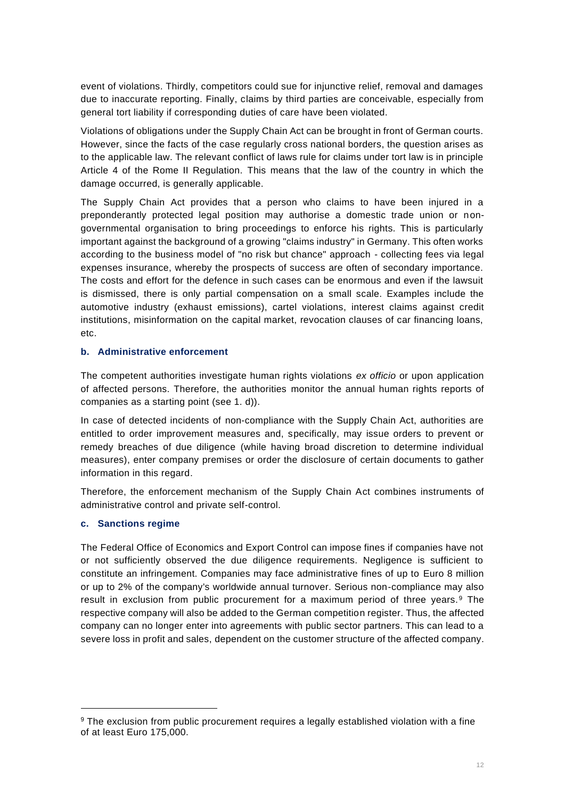event of violations. Thirdly, competitors could sue for injunctive relief, removal and damages due to inaccurate reporting. Finally, claims by third parties are conceivable, especially from general tort liability if corresponding duties of care have been violated.

Violations of obligations under the Supply Chain Act can be brought in front of German courts. However, since the facts of the case regularly cross national borders, the question arises as to the applicable law. The relevant conflict of laws rule for claims under tort law is in principle Article 4 of the Rome II Regulation. This means that the law of the country in which the damage occurred, is generally applicable.

The Supply Chain Act provides that a person who claims to have been injured in a preponderantly protected legal position may authorise a domestic trade union or nongovernmental organisation to bring proceedings to enforce his rights. This is particularly important against the background of a growing "claims industry" in Germany. This often works according to the business model of "no risk but chance" approach - collecting fees via legal expenses insurance, whereby the prospects of success are often of secondary importance. The costs and effort for the defence in such cases can be enormous and even if the lawsuit is dismissed, there is only partial compensation on a small scale. Examples include the automotive industry (exhaust emissions), cartel violations, interest claims against credit institutions, misinformation on the capital market, revocation clauses of car financing loans, etc.

#### **b. Administrative enforcement**

The competent authorities investigate human rights violations *ex officio* or upon application of affected persons. Therefore, the authorities monitor the annual human rights reports of companies as a starting point (see 1. d)).

In case of detected incidents of non-compliance with the Supply Chain Act, authorities are entitled to order improvement measures and, specifically, may issue orders to prevent or remedy breaches of due diligence (while having broad discretion to determine individual measures), enter company premises or order the disclosure of certain documents to gather information in this regard.

Therefore, the enforcement mechanism of the Supply Chain Act combines instruments of administrative control and private self-control.

#### **c. Sanctions regime**

The Federal Office of Economics and Export Control can impose fines if companies have not or not sufficiently observed the due diligence requirements. Negligence is sufficient to constitute an infringement. Companies may face administrative fines of up to Euro 8 million or up to 2% of the company's worldwide annual turnover. Serious non-compliance may also result in exclusion from public procurement for a maximum period of three years. <sup>9</sup> The respective company will also be added to the German competition register. Thus, the affected company can no longer enter into agreements with public sector partners. This can lead to a severe loss in profit and sales, dependent on the customer structure of the affected company.

<sup>9</sup> The exclusion from public procurement requires a legally established violation with a fine of at least Euro 175,000.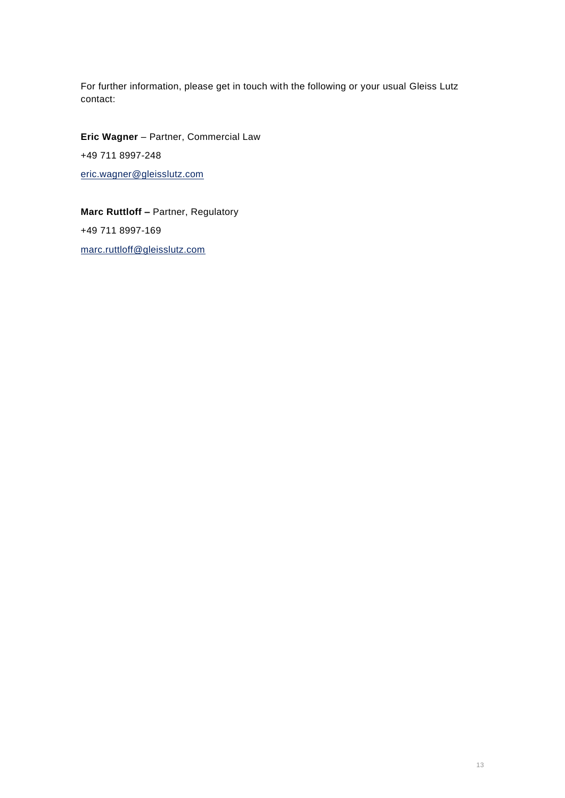For further information, please get in touch with the following or your usual Gleiss Lutz contact:

**Eric Wagner** – Partner, Commercial Law +49 711 8997-248 [eric.wagner@gleisslutz.com](mailto:eric.wagner@gleisslutz.com)

**Marc Ruttloff –** Partner, Regulatory +49 711 8997-169 [marc.ruttloff@gleisslutz.com](mailto:marc.ruttloff@gleisslutz.com)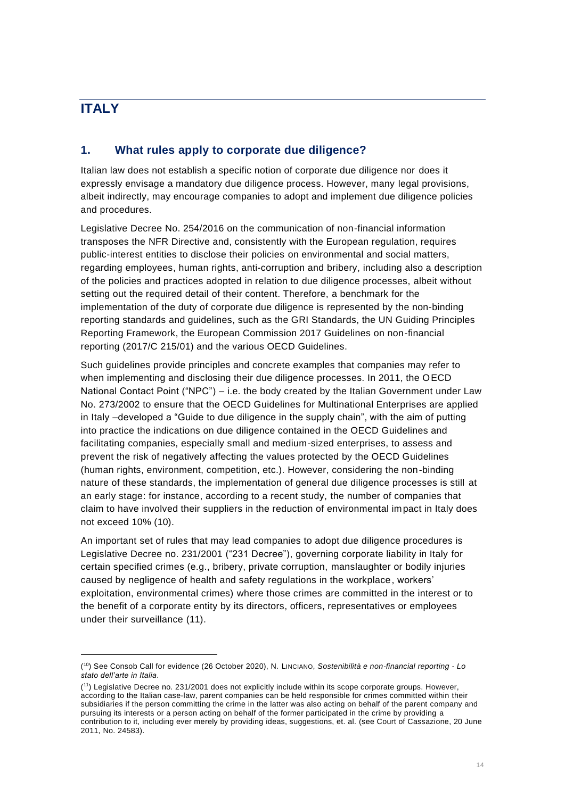# <span id="page-13-0"></span>**ITALY**

#### **1. What rules apply to corporate due diligence?**

Italian law does not establish a specific notion of corporate due diligence nor does it expressly envisage a mandatory due diligence process. However, many legal provisions, albeit indirectly, may encourage companies to adopt and implement due diligence policies and procedures.

Legislative Decree No. 254/2016 on the communication of non-financial information transposes the NFR Directive and, consistently with the European regulation, requires public-interest entities to disclose their policies on environmental and social matters, regarding employees, human rights, anti-corruption and bribery, including also a description of the policies and practices adopted in relation to due diligence processes, albeit without setting out the required detail of their content. Therefore, a benchmark for the implementation of the duty of corporate due diligence is represented by the non-binding reporting standards and guidelines, such as the GRI Standards, the UN Guiding Principles Reporting Framework, the European Commission 2017 Guidelines on non-financial reporting (2017/C 215/01) and the various OECD Guidelines.

Such guidelines provide principles and concrete examples that companies may refer to when implementing and disclosing their due diligence processes. In 2011, the OECD National Contact Point ("NPC") – i.e. the body created by the Italian Government under Law No. 273/2002 to ensure that the OECD Guidelines for Multinational Enterprises are applied in Italy –developed a "Guide to due diligence in the supply chain", with the aim of putting into practice the indications on due diligence contained in the OECD Guidelines and facilitating companies, especially small and medium-sized enterprises, to assess and prevent the risk of negatively affecting the values protected by the OECD Guidelines (human rights, environment, competition, etc.). However, considering the non-binding nature of these standards, the implementation of general due diligence processes is still at an early stage: for instance, according to a recent study, the number of companies that claim to have involved their suppliers in the reduction of environmental impact in Italy does not exceed 10% (10).

An important set of rules that may lead companies to adopt due diligence procedures is Legislative Decree no. 231/2001 ("231 Decree"), governing corporate liability in Italy for certain specified crimes (e.g., bribery, private corruption, manslaughter or bodily injuries caused by negligence of health and safety regulations in the workplace, workers' exploitation, environmental crimes) where those crimes are committed in the interest or to the benefit of a corporate entity by its directors, officers, representatives or employees under their surveillance (11).

<sup>(</sup> <sup>10</sup>) See Consob Call for evidence (26 October 2020), N. LINCIANO, *Sostenibilità e non*‐*financial reporting - Lo stato dell'arte in Italia*.

<sup>(</sup> <sup>11</sup>) Legislative Decree no. 231/2001 does not explicitly include within its scope corporate groups. However, according to the Italian case-law, parent companies can be held responsible for crimes committed within their subsidiaries if the person committing the crime in the latter was also acting on behalf of the parent company and pursuing its interests or a person acting on behalf of the former participated in the crime by providing a contribution to it, including ever merely by providing ideas, suggestions, et. al. (see Court of Cassazione, 20 June 2011, No. 24583).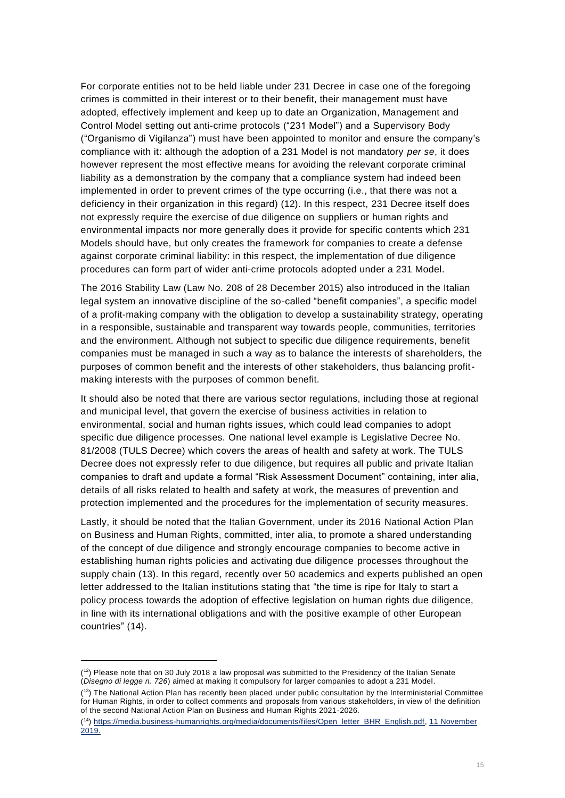For corporate entities not to be held liable under 231 Decree in case one of the foregoing crimes is committed in their interest or to their benefit, their management must have adopted, effectively implement and keep up to date an Organization, Management and Control Model setting out anti-crime protocols ("231 Model") and a Supervisory Body ("Organismo di Vigilanza") must have been appointed to monitor and ensure the company's compliance with it: although the adoption of a 231 Model is not mandatory *per se*, it does however represent the most effective means for avoiding the relevant corporate criminal liability as a demonstration by the company that a compliance system had indeed been implemented in order to prevent crimes of the type occurring (i.e., that there was not a deficiency in their organization in this regard) (12). In this respect, 231 Decree itself does not expressly require the exercise of due diligence on suppliers or human rights and environmental impacts nor more generally does it provide for specific contents which 231 Models should have, but only creates the framework for companies to create a defense against corporate criminal liability: in this respect, the implementation of due diligence procedures can form part of wider anti-crime protocols adopted under a 231 Model.

The 2016 Stability Law (Law No. 208 of 28 December 2015) also introduced in the Italian legal system an innovative discipline of the so-called "benefit companies", a specific model of a profit-making company with the obligation to develop a sustainability strategy, operating in a responsible, sustainable and transparent way towards people, communities, territories and the environment. Although not subject to specific due diligence requirements, benefit companies must be managed in such a way as to balance the interests of shareholders, the purposes of common benefit and the interests of other stakeholders, thus balancing profitmaking interests with the purposes of common benefit.

It should also be noted that there are various sector regulations, including those at regional and municipal level, that govern the exercise of business activities in relation to environmental, social and human rights issues, which could lead companies to adopt specific due diligence processes. One national level example is Legislative Decree No. 81/2008 (TULS Decree) which covers the areas of health and safety at work. The TULS Decree does not expressly refer to due diligence, but requires all public and private Italian companies to draft and update a formal "Risk Assessment Document" containing, inter alia, details of all risks related to health and safety at work, the measures of prevention and protection implemented and the procedures for the implementation of security measures.

Lastly, it should be noted that the Italian Government, under its 2016 National Action Plan on Business and Human Rights, committed, inter alia, to promote a shared understanding of the concept of due diligence and strongly encourage companies to become active in establishing human rights policies and activating due diligence processes throughout the supply chain (13). In this regard, recently over 50 academics and experts published an open letter addressed to the Italian institutions stating that "the time is ripe for Italy to start a policy process towards the adoption of effective legislation on human rights due diligence, in line with its international obligations and with the positive example of other European countries" (14).

 $(1^2)$  Please note that on 30 July 2018 a law proposal was submitted to the Presidency of the Italian Senate (*Disegno di legge n. 726*) aimed at making it compulsory for larger companies to adopt a 231 Model.

<sup>&</sup>lt;sup>(13</sup>) The National Action Plan has recently been placed under public consultation by the Interministerial Committee for Human Rights, in order to collect comments and proposals from various stakeholders, in view of the definition of the second National Action Plan on Business and Human Rights 2021-2026.

<sup>&</sup>lt;sup>(14</sup>) [https://media.business-humanrights.org/media/documents/files/Open\\_letter\\_BHR\\_English.pdf,](https://media.business-humanrights.org/media/documents/files/Open_letter_BHR_English.pdf) 11 November  $2019.$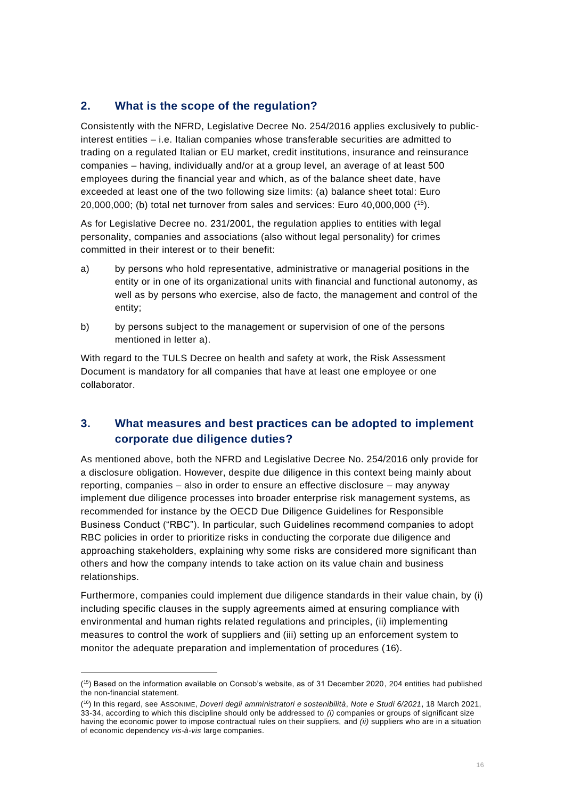### **2. What is the scope of the regulation?**

Consistently with the NFRD, Legislative Decree No. 254/2016 applies exclusively to publicinterest entities – i.e. Italian companies whose transferable securities are admitted to trading on a regulated Italian or EU market, credit institutions, insurance and reinsurance companies – having, individually and/or at a group level, an average of at least 500 employees during the financial year and which, as of the balance sheet date, have exceeded at least one of the two following size limits: (a) balance sheet total: Euro 20,000,000; (b) total net turnover from sales and services: Euro 40,000,000 ( <sup>15</sup>).

As for Legislative Decree no. 231/2001, the regulation applies to entities with legal personality, companies and associations (also without legal personality) for crimes committed in their interest or to their benefit:

- a) by persons who hold representative, administrative or managerial positions in the entity or in one of its organizational units with financial and functional autonomy, as well as by persons who exercise, also de facto, the management and control of the entity;
- b) by persons subject to the management or supervision of one of the persons mentioned in letter a).

With regard to the TULS Decree on health and safety at work, the Risk Assessment Document is mandatory for all companies that have at least one employee or one collaborator.

## **3. What measures and best practices can be adopted to implement corporate due diligence duties?**

As mentioned above, both the NFRD and Legislative Decree No. 254/2016 only provide for a disclosure obligation. However, despite due diligence in this context being mainly about reporting, companies – also in order to ensure an effective disclosure – may anyway implement due diligence processes into broader enterprise risk management systems, as recommended for instance by the OECD Due Diligence Guidelines for Responsible Business Conduct ("RBC"). In particular, such Guidelines recommend companies to adopt RBC policies in order to prioritize risks in conducting the corporate due diligence and approaching stakeholders, explaining why some risks are considered more significant than others and how the company intends to take action on its value chain and business relationships.

Furthermore, companies could implement due diligence standards in their value chain, by (i) including specific clauses in the supply agreements aimed at ensuring compliance with environmental and human rights related regulations and principles, (ii) implementing measures to control the work of suppliers and (iii) setting up an enforcement system to monitor the adequate preparation and implementation of procedures (16).

<sup>(</sup> <sup>15</sup>) Based on the information available on Consob's website, as of 31 December 2020, 204 entities had published the non-financial statement.

<sup>(</sup> <sup>16</sup>) In this regard, see ASSONIME, *Doveri degli amministratori e sostenibilità*, *Note e Studi 6/2021*, 18 March 2021, 33-34, according to which this discipline should only be addressed to *(i)* companies or groups of significant size having the economic power to impose contractual rules on their suppliers, and *(ii)* suppliers who are in a situation of economic dependency *vis-à-vis* large companies.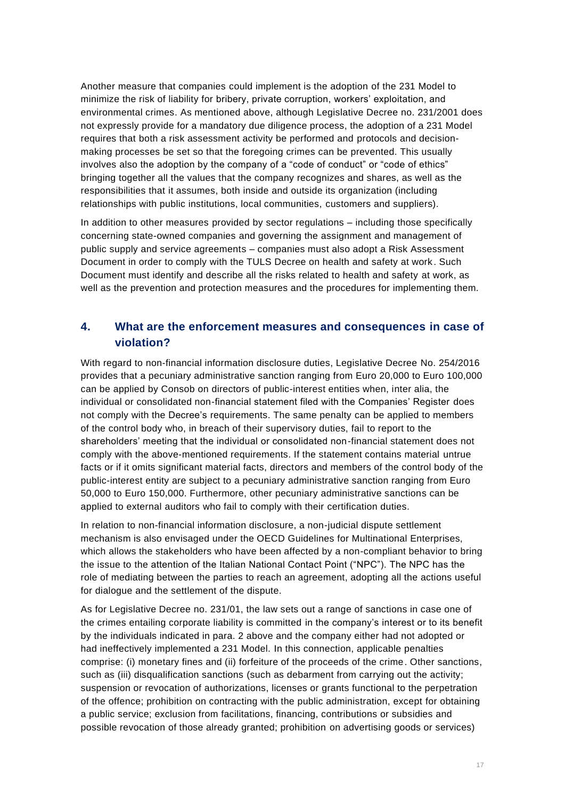Another measure that companies could implement is the adoption of the 231 Model to minimize the risk of liability for bribery, private corruption, workers' exploitation, and environmental crimes. As mentioned above, although Legislative Decree no. 231/2001 does not expressly provide for a mandatory due diligence process, the adoption of a 231 Model requires that both a risk assessment activity be performed and protocols and decisionmaking processes be set so that the foregoing crimes can be prevented. This usually involves also the adoption by the company of a "code of conduct" or "code of ethics" bringing together all the values that the company recognizes and shares, as well as the responsibilities that it assumes, both inside and outside its organization (including relationships with public institutions, local communities, customers and suppliers).

In addition to other measures provided by sector regulations – including those specifically concerning state-owned companies and governing the assignment and management of public supply and service agreements – companies must also adopt a Risk Assessment Document in order to comply with the TULS Decree on health and safety at work . Such Document must identify and describe all the risks related to health and safety at work, as well as the prevention and protection measures and the procedures for implementing them.

### **4. What are the enforcement measures and consequences in case of violation?**

With regard to non-financial information disclosure duties, Legislative Decree No. 254/2016 provides that a pecuniary administrative sanction ranging from Euro 20,000 to Euro 100,000 can be applied by Consob on directors of public-interest entities when, inter alia, the individual or consolidated non-financial statement filed with the Companies' Register does not comply with the Decree's requirements. The same penalty can be applied to members of the control body who, in breach of their supervisory duties, fail to report to the shareholders' meeting that the individual or consolidated non-financial statement does not comply with the above-mentioned requirements. If the statement contains material untrue facts or if it omits significant material facts, directors and members of the control body of the public-interest entity are subject to a pecuniary administrative sanction ranging from Euro 50,000 to Euro 150,000. Furthermore, other pecuniary administrative sanctions can be applied to external auditors who fail to comply with their certification duties.

In relation to non-financial information disclosure, a non-judicial dispute settlement mechanism is also envisaged under the OECD Guidelines for Multinational Enterprises, which allows the stakeholders who have been affected by a non-compliant behavior to bring the issue to the attention of the Italian National Contact Point ("NPC"). The NPC has the role of mediating between the parties to reach an agreement, adopting all the actions useful for dialogue and the settlement of the dispute.

As for Legislative Decree no. 231/01, the law sets out a range of sanctions in case one of the crimes entailing corporate liability is committed in the company's interest or to its benefit by the individuals indicated in para. 2 above and the company either had not adopted or had ineffectively implemented a 231 Model. In this connection, applicable penalties comprise: (i) monetary fines and (ii) forfeiture of the proceeds of the crime. Other sanctions, such as (iii) disqualification sanctions (such as debarment from carrying out the activity; suspension or revocation of authorizations, licenses or grants functional to the perpetration of the offence; prohibition on contracting with the public administration, except for obtaining a public service; exclusion from facilitations, financing, contributions or subsidies and possible revocation of those already granted; prohibition on advertising goods or services)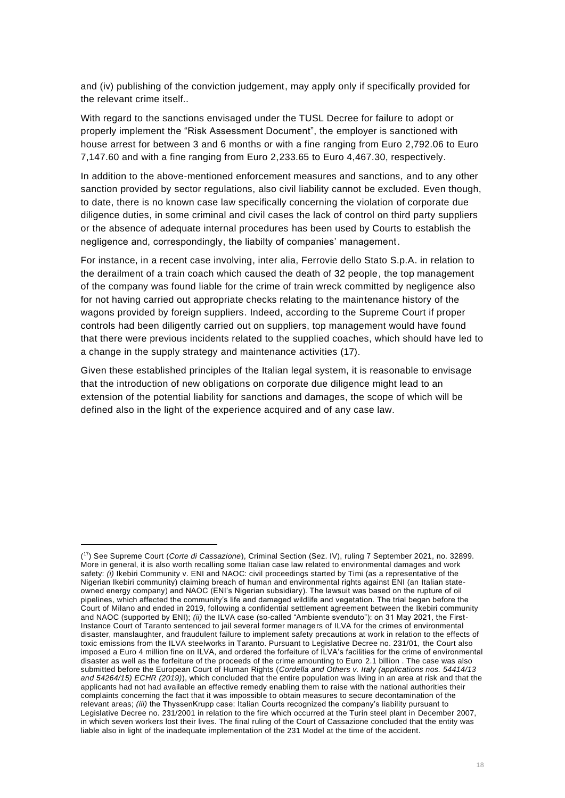and (iv) publishing of the conviction judgement, may apply only if specifically provided for the relevant crime itself..

With regard to the sanctions envisaged under the TUSL Decree for failure to adopt or properly implement the "Risk Assessment Document", the employer is sanctioned with house arrest for between 3 and 6 months or with a fine ranging from Euro 2,792.06 to Euro 7,147.60 and with a fine ranging from Euro 2,233.65 to Euro 4,467.30, respectively.

In addition to the above-mentioned enforcement measures and sanctions, and to any other sanction provided by sector regulations, also civil liability cannot be excluded. Even though, to date, there is no known case law specifically concerning the violation of corporate due diligence duties, in some criminal and civil cases the lack of control on third party suppliers or the absence of adequate internal procedures has been used by Courts to establish the negligence and, correspondingly, the liabilty of companies' management.

For instance, in a recent case involving, inter alia, Ferrovie dello Stato S.p.A. in relation to the derailment of a train coach which caused the death of 32 people, the top management of the company was found liable for the crime of train wreck committed by negligence also for not having carried out appropriate checks relating to the maintenance history of the wagons provided by foreign suppliers. Indeed, according to the Supreme Court if proper controls had been diligently carried out on suppliers, top management would have found that there were previous incidents related to the supplied coaches, which should have led to a change in the supply strategy and maintenance activities (17).

Given these established principles of the Italian legal system, it is reasonable to envisage that the introduction of new obligations on corporate due diligence might lead to an extension of the potential liability for sanctions and damages, the scope of which will be defined also in the light of the experience acquired and of any case law.

<sup>(</sup> <sup>17</sup>) See Supreme Court (*Corte di Cassazione*), Criminal Section (Sez. IV), ruling 7 September 2021, no. 32899. More in general, it is also worth recalling some Italian case law related to environmental damages and work safety: *(i)* Ikebiri Community v. ENI and NAOC: civil proceedings started by Timi (as a representative of the Nigerian Ikebiri community) claiming breach of human and environmental rights against ENI (an Italian stateowned energy company) and NAOC (ENI's Nigerian subsidiary). The lawsuit was based on the rupture of oil pipelines, which affected the community's life and damaged wildlife and vegetation. The trial began before the Court of Milano and ended in 2019, following a confidential settlement agreement between the Ikebiri community and NAOC (supported by ENI); *(ii)* the ILVA case (so-called "Ambiente svenduto"): on 31 May 2021, the First-Instance Court of Taranto sentenced to jail several former managers of ILVA for the crimes of environmental disaster, manslaughter, and fraudulent failure to implement safety precautions at work in relation to the effects of toxic emissions from the ILVA steelworks in Taranto. Pursuant to Legislative Decree no. 231/01, the Court also imposed a Euro 4 million fine on ILVA, and ordered the forfeiture of ILVA's facilities for the crime of environmental disaster as well as the forfeiture of the proceeds of the crime amounting to Euro 2.1 billion . The case was also submitted before the European Court of Human Rights (*Cordella and Others v. Italy (applications nos. 54414/13 and 54264/15) ECHR (2019)*), which concluded that the entire population was living in an area at risk and that the applicants had not had available an effective remedy enabling them to raise with the national authorities their complaints concerning the fact that it was impossible to obtain measures to secure decontamination of the relevant areas; *(iii)* the ThyssenKrupp case: Italian Courts recognized the company's liability pursuant to Legislative Decree no. 231/2001 in relation to the fire which occurred at the Turin steel plant in December 2007, in which seven workers lost their lives. The final ruling of the Court of Cassazione concluded that the entity was liable also in light of the inadequate implementation of the 231 Model at the time of the accident.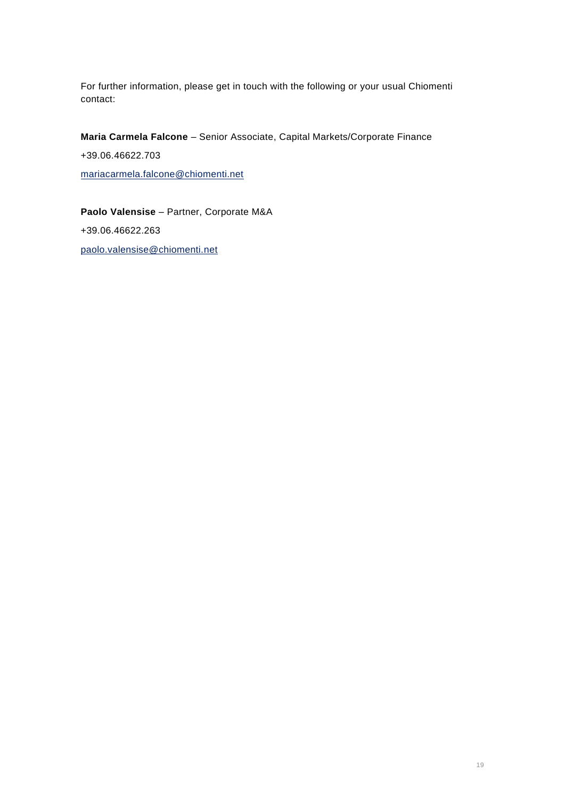For further information, please get in touch with the following or your usual Chiomenti contact:

**Maria Carmela Falcone** – Senior Associate, Capital Markets/Corporate Finance +39.06.46622.703 [mariacarmela.falcone@chiomenti.net](mailto:marco.nicolini@chiomenti.net)

**Paolo Valensise** – Partner, Corporate M&A [+39.06.46622.263](telto:+39.06.46622.263) [paolo.valensise@chiomenti.net](mailto:paolo.valensise@chiomenti.net)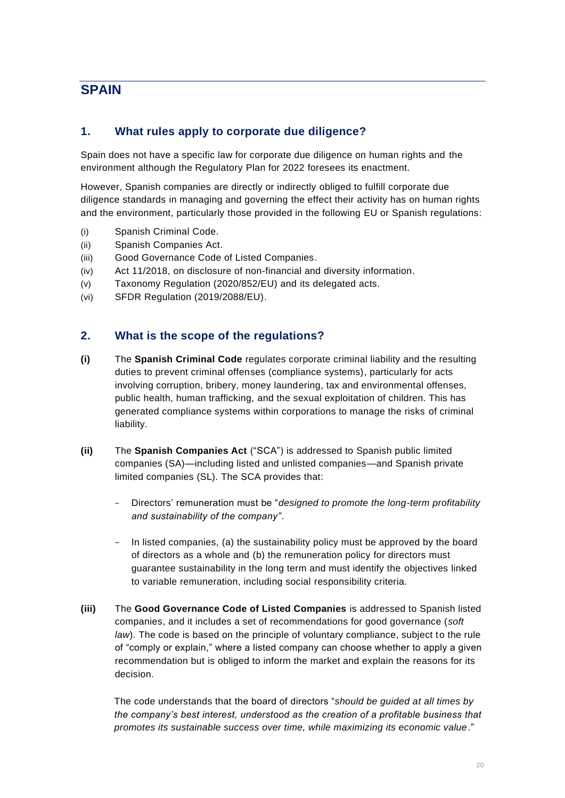# <span id="page-19-0"></span>**SPAIN**

#### **1. What rules apply to corporate due diligence?**

Spain does not have a specific law for corporate due diligence on human rights and the environment although the Regulatory Plan for 2022 foresees its enactment.

However, Spanish companies are directly or indirectly obliged to fulfill corporate due diligence standards in managing and governing the effect their activity has on human rights and the environment, particularly those provided in the following EU or Spanish regulations:

- (i) Spanish Criminal Code.
- (ii) Spanish Companies Act.
- (iii) Good Governance Code of Listed Companies.
- (iv) Act 11/2018, on disclosure of non-financial and diversity information.
- (v) Taxonomy Regulation (2020/852/EU) and its delegated acts.
- (vi) SFDR Regulation (2019/2088/EU).

#### **2. What is the scope of the regulations?**

- **(i)** The **Spanish Criminal Code** regulates corporate criminal liability and the resulting duties to prevent criminal offenses (compliance systems), particularly for acts involving corruption, bribery, money laundering, tax and environmental offenses, public health, human trafficking, and the sexual exploitation of children. This has generated compliance systems within corporations to manage the risks of criminal liability.
- **(ii)** The **Spanish Companies Act** ("SCA") is addressed to Spanish public limited companies (SA)—including listed and unlisted companies—and Spanish private limited companies (SL). The SCA provides that:
	- Directors' remuneration must be "*designed to promote the long-term profitability and sustainability of the company"*.
	- In listed companies, (a) the sustainability policy must be approved by the board of directors as a whole and (b) the remuneration policy for directors must guarantee sustainability in the long term and must identify the objectives linked to variable remuneration, including social responsibility criteria.
- **(iii)** The **Good Governance Code of Listed Companies** is addressed to Spanish listed companies, and it includes a set of recommendations for good governance (*soft law*). The code is based on the principle of voluntary compliance, subject to the rule of "comply or explain," where a listed company can choose whether to apply a given recommendation but is obliged to inform the market and explain the reasons for its decision.

The code understands that the board of directors "*should be guided at all times by the company's best interest, understood as the creation of a profitable business that promotes its sustainable success over time, while maximizing its economic value*."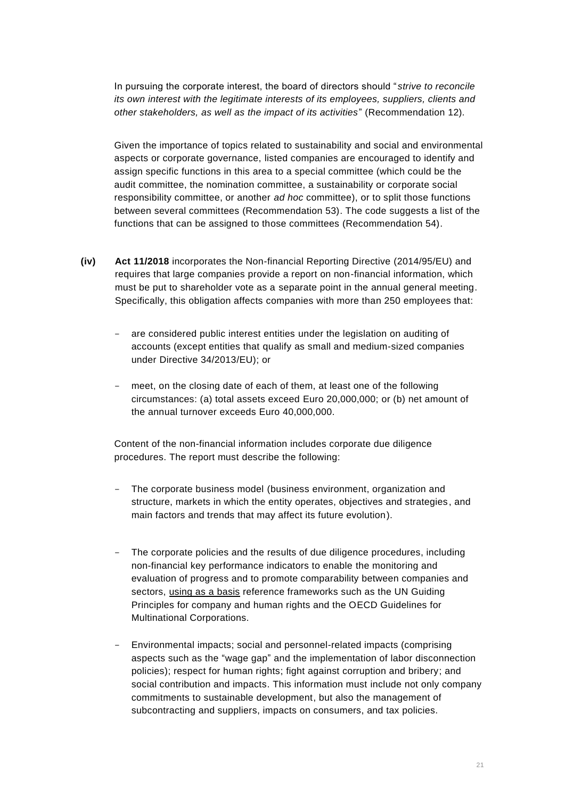In pursuing the corporate interest, the board of directors should "*strive to reconcile its own interest with the legitimate interests of its employees, suppliers, clients and other stakeholders, as well as the impact of its activities*" (Recommendation 12)*.*

Given the importance of topics related to sustainability and social and environmental aspects or corporate governance, listed companies are encouraged to identify and assign specific functions in this area to a special committee (which could be the audit committee, the nomination committee, a sustainability or corporate social responsibility committee, or another *ad hoc* committee), or to split those functions between several committees (Recommendation 53). The code suggests a list of the functions that can be assigned to those committees (Recommendation 54).

- **(iv) Act 11/2018** incorporates the Non-financial Reporting Directive (2014/95/EU) and requires that large companies provide a report on non-financial information, which must be put to shareholder vote as a separate point in the annual general meeting. Specifically, this obligation affects companies with more than 250 employees that:
	- are considered public interest entities under the legislation on auditing of accounts (except entities that qualify as small and medium-sized companies under Directive 34/2013/EU); or
	- meet, on the closing date of each of them, at least one of the following circumstances: (a) total assets exceed Euro 20,000,000; or (b) net amount of the annual turnover exceeds Euro 40,000,000.

Content of the non-financial information includes corporate due diligence procedures. The report must describe the following:

- The corporate business model (business environment, organization and structure, markets in which the entity operates, objectives and strategies , and main factors and trends that may affect its future evolution).
- The corporate policies and the results of due diligence procedures, including non-financial key performance indicators to enable the monitoring and evaluation of progress and to promote comparability between companies and sectors, using as a basis reference frameworks such as the UN Guiding Principles for company and human rights and the OECD Guidelines for Multinational Corporations.
- Environmental impacts; social and personnel-related impacts (comprising aspects such as the "wage gap" and the implementation of labor disconnection policies); respect for human rights; fight against corruption and bribery; and social contribution and impacts. This information must include not only company commitments to sustainable development, but also the management of subcontracting and suppliers, impacts on consumers, and tax policies.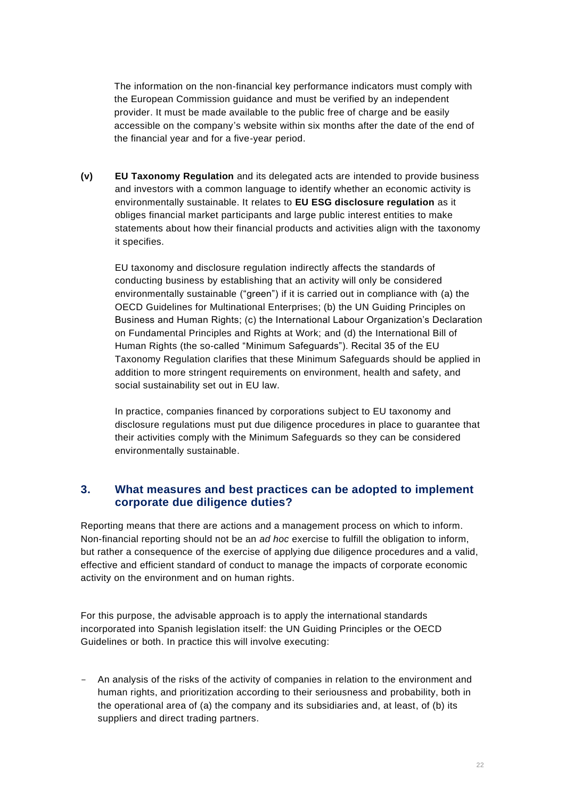The information on the non-financial key performance indicators must comply with the European Commission guidance and must be verified by an independent provider. It must be made available to the public free of charge and be easily accessible on the company's website within six months after the date of the end of the financial year and for a five-year period.

**(v) EU Taxonomy Regulation** and its delegated acts are intended to provide business and investors with a common language to identify whether an economic activity is environmentally sustainable. It relates to **EU ESG disclosure regulation** as it obliges financial market participants and large public interest entities to make statements about how their financial products and activities align with the taxonomy it specifies.

EU taxonomy and disclosure regulation indirectly affects the standards of conducting business by establishing that an activity will only be considered environmentally sustainable ("green") if it is carried out in compliance with (a) the OECD Guidelines for Multinational Enterprises; (b) the UN Guiding Principles on Business and Human Rights; (c) the International Labour Organization's Declaration on Fundamental Principles and Rights at Work; and (d) the International Bill of Human Rights (the so-called "Minimum Safeguards"). Recital 35 of the EU Taxonomy Regulation clarifies that these Minimum Safeguards should be applied in addition to more stringent requirements on environment, health and safety, and social sustainability set out in EU law.

In practice, companies financed by corporations subject to EU taxonomy and disclosure regulations must put due diligence procedures in place to guarantee that their activities comply with the Minimum Safeguards so they can be considered environmentally sustainable.

#### **3. What measures and best practices can be adopted to implement corporate due diligence duties?**

Reporting means that there are actions and a management process on which to inform. Non-financial reporting should not be an *ad hoc* exercise to fulfill the obligation to inform, but rather a consequence of the exercise of applying due diligence procedures and a valid, effective and efficient standard of conduct to manage the impacts of corporate economic activity on the environment and on human rights.

For this purpose, the advisable approach is to apply the international standards incorporated into Spanish legislation itself: the UN Guiding Principles or the OECD Guidelines or both. In practice this will involve executing:

- An analysis of the risks of the activity of companies in relation to the environment and human rights, and prioritization according to their seriousness and probability, both in the operational area of (a) the company and its subsidiaries and, at least, of (b) its suppliers and direct trading partners.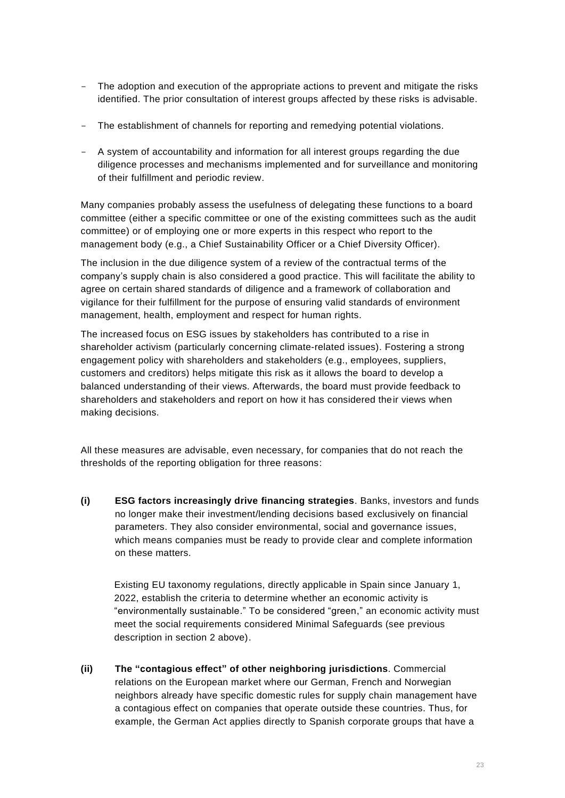- The adoption and execution of the appropriate actions to prevent and mitigate the risks identified. The prior consultation of interest groups affected by these risks is advisable.
- The establishment of channels for reporting and remedying potential violations.
- A system of accountability and information for all interest groups regarding the due diligence processes and mechanisms implemented and for surveillance and monitoring of their fulfillment and periodic review.

Many companies probably assess the usefulness of delegating these functions to a board committee (either a specific committee or one of the existing committees such as the audit committee) or of employing one or more experts in this respect who report to the management body (e.g., a Chief Sustainability Officer or a Chief Diversity Officer).

The inclusion in the due diligence system of a review of the contractual terms of the company's supply chain is also considered a good practice. This will facilitate the ability to agree on certain shared standards of diligence and a framework of collaboration and vigilance for their fulfillment for the purpose of ensuring valid standards of environment management, health, employment and respect for human rights.

The increased focus on ESG issues by stakeholders has contributed to a rise in shareholder activism (particularly concerning climate-related issues). Fostering a strong engagement policy with shareholders and stakeholders (e.g., employees, suppliers, customers and creditors) helps mitigate this risk as it allows the board to develop a balanced understanding of their views. Afterwards, the board must provide feedback to shareholders and stakeholders and report on how it has considered their views when making decisions.

All these measures are advisable, even necessary, for companies that do not reach the thresholds of the reporting obligation for three reasons:

**(i) ESG factors increasingly drive financing strategies**. Banks, investors and funds no longer make their investment/lending decisions based exclusively on financial parameters. They also consider environmental, social and governance issues, which means companies must be ready to provide clear and complete information on these matters.

Existing EU taxonomy regulations, directly applicable in Spain since January 1, 2022, establish the criteria to determine whether an economic activity is "environmentally sustainable." To be considered "green," an economic activity must meet the social requirements considered Minimal Safeguards (see previous description in section 2 above).

**(ii) The "contagious effect" of other neighboring jurisdictions**. Commercial relations on the European market where our German, French and Norwegian neighbors already have specific domestic rules for supply chain management have a contagious effect on companies that operate outside these countries. Thus, for example, the German Act applies directly to Spanish corporate groups that have a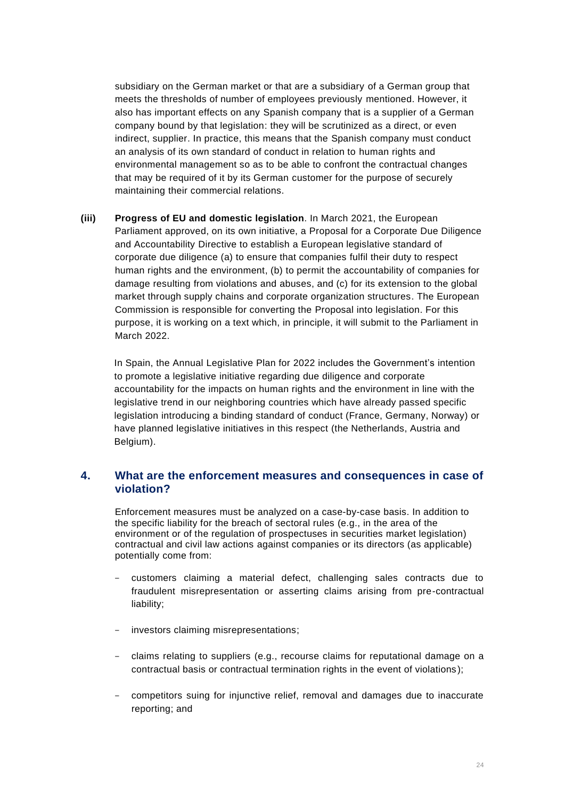subsidiary on the German market or that are a subsidiary of a German group that meets the thresholds of number of employees previously mentioned. However, it also has important effects on any Spanish company that is a supplier of a German company bound by that legislation: they will be scrutinized as a direct, or even indirect, supplier. In practice, this means that the Spanish company must conduct an analysis of its own standard of conduct in relation to human rights and environmental management so as to be able to confront the contractual changes that may be required of it by its German customer for the purpose of securely maintaining their commercial relations.

**(iii) Progress of EU and domestic legislation**. In March 2021, the European Parliament approved, on its own initiative, a Proposal for a Corporate Due Diligence and Accountability Directive to establish a European legislative standard of corporate due diligence (a) to ensure that companies fulfil their duty to respect human rights and the environment, (b) to permit the accountability of companies for damage resulting from violations and abuses, and (c) for its extension to the global market through supply chains and corporate organization structures. The European Commission is responsible for converting the Proposal into legislation. For this purpose, it is working on a text which, in principle, it will submit to the Parliament in March 2022.

In Spain, the Annual Legislative Plan for 2022 includes the Government's intention to promote a legislative initiative regarding due diligence and corporate accountability for the impacts on human rights and the environment in line with the legislative trend in our neighboring countries which have already passed specific legislation introducing a binding standard of conduct (France, Germany, Norway) or have planned legislative initiatives in this respect (the Netherlands, Austria and Belgium).

#### **4. What are the enforcement measures and consequences in case of violation?**

Enforcement measures must be analyzed on a case-by-case basis. In addition to the specific liability for the breach of sectoral rules (e.g., in the area of the environment or of the regulation of prospectuses in securities market legislation) contractual and civil law actions against companies or its directors (as applicable) potentially come from:

- customers claiming a material defect, challenging sales contracts due to fraudulent misrepresentation or asserting claims arising from pre-contractual liability;
- investors claiming misrepresentations;
- claims relating to suppliers (e.g., recourse claims for reputational damage on a contractual basis or contractual termination rights in the event of violations);
- competitors suing for injunctive relief, removal and damages due to inaccurate reporting; and